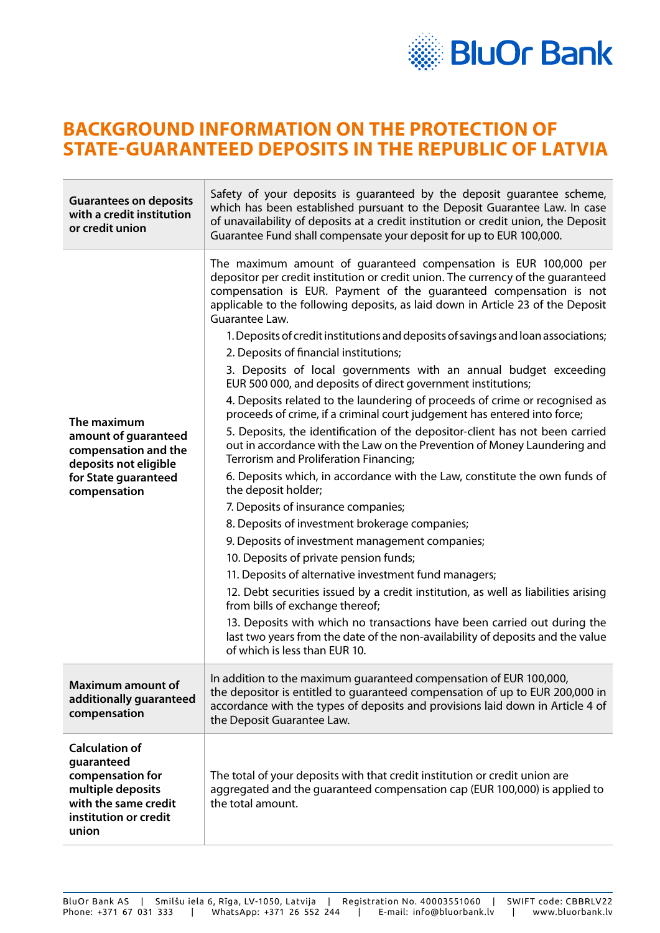

## **BACKGROUND INFORMATION ON THE PROTECTION OF STATE-GUARANTEED DEPOSITS IN THE REPUBLIC OF LATVIA**

| <b>Guarantees on deposits</b><br>with a credit institution<br>or credit union                                                          | Safety of your deposits is guaranteed by the deposit guarantee scheme,<br>which has been established pursuant to the Deposit Guarantee Law. In case<br>of unavailability of deposits at a credit institution or credit union, the Deposit<br>Guarantee Fund shall compensate your deposit for up to EUR 100,000.                                                                                                                                                                                                                                                                                                                                                                                                                                                                                                                                                                                                                                                                                                                                                                                                                                                                                                                                                                                                                                                                                                                                                                                                                                                                                                                                |
|----------------------------------------------------------------------------------------------------------------------------------------|-------------------------------------------------------------------------------------------------------------------------------------------------------------------------------------------------------------------------------------------------------------------------------------------------------------------------------------------------------------------------------------------------------------------------------------------------------------------------------------------------------------------------------------------------------------------------------------------------------------------------------------------------------------------------------------------------------------------------------------------------------------------------------------------------------------------------------------------------------------------------------------------------------------------------------------------------------------------------------------------------------------------------------------------------------------------------------------------------------------------------------------------------------------------------------------------------------------------------------------------------------------------------------------------------------------------------------------------------------------------------------------------------------------------------------------------------------------------------------------------------------------------------------------------------------------------------------------------------------------------------------------------------|
| The maximum<br>amount of guaranteed<br>compensation and the<br>deposits not eligible<br>for State guaranteed<br>compensation           | The maximum amount of guaranteed compensation is EUR 100,000 per<br>depositor per credit institution or credit union. The currency of the guaranteed<br>compensation is EUR. Payment of the guaranteed compensation is not<br>applicable to the following deposits, as laid down in Article 23 of the Deposit<br>Guarantee Law.<br>1. Deposits of credit institutions and deposits of savings and loan associations;<br>2. Deposits of financial institutions;<br>3. Deposits of local governments with an annual budget exceeding<br>EUR 500 000, and deposits of direct government institutions;<br>4. Deposits related to the laundering of proceeds of crime or recognised as<br>proceeds of crime, if a criminal court judgement has entered into force;<br>5. Deposits, the identification of the depositor-client has not been carried<br>out in accordance with the Law on the Prevention of Money Laundering and<br>Terrorism and Proliferation Financing;<br>6. Deposits which, in accordance with the Law, constitute the own funds of<br>the deposit holder;<br>7. Deposits of insurance companies;<br>8. Deposits of investment brokerage companies;<br>9. Deposits of investment management companies;<br>10. Deposits of private pension funds;<br>11. Deposits of alternative investment fund managers;<br>12. Debt securities issued by a credit institution, as well as liabilities arising<br>from bills of exchange thereof;<br>13. Deposits with which no transactions have been carried out during the<br>last two years from the date of the non-availability of deposits and the value<br>of which is less than EUR 10. |
| <b>Maximum amount of</b><br>additionally guaranteed<br>compensation                                                                    | In addition to the maximum guaranteed compensation of EUR 100,000,<br>the depositor is entitled to guaranteed compensation of up to EUR 200,000 in<br>accordance with the types of deposits and provisions laid down in Article 4 of<br>the Deposit Guarantee Law.                                                                                                                                                                                                                                                                                                                                                                                                                                                                                                                                                                                                                                                                                                                                                                                                                                                                                                                                                                                                                                                                                                                                                                                                                                                                                                                                                                              |
| <b>Calculation of</b><br>guaranteed<br>compensation for<br>multiple deposits<br>with the same credit<br>institution or credit<br>union | The total of your deposits with that credit institution or credit union are<br>aggregated and the guaranteed compensation cap (EUR 100,000) is applied to<br>the total amount.                                                                                                                                                                                                                                                                                                                                                                                                                                                                                                                                                                                                                                                                                                                                                                                                                                                                                                                                                                                                                                                                                                                                                                                                                                                                                                                                                                                                                                                                  |